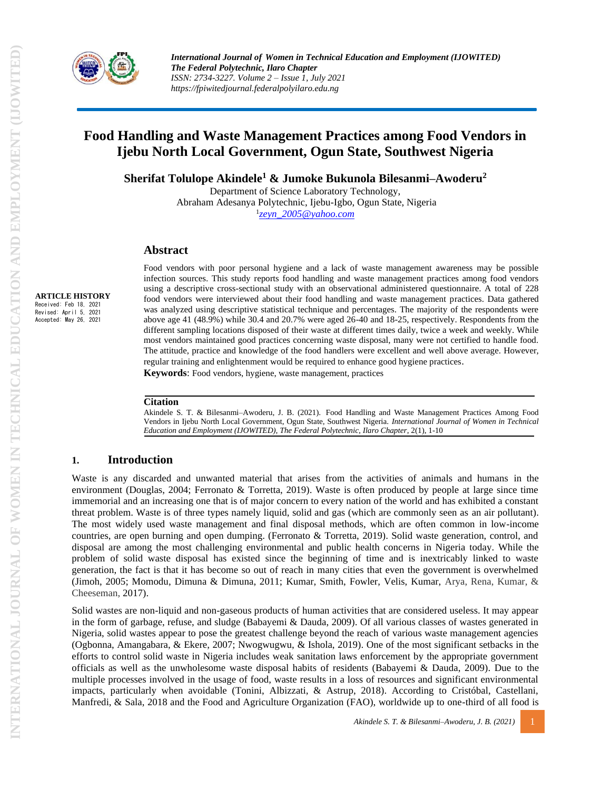

# **Food Handling and Waste Management Practices among Food Vendors in Ijebu North Local Government, Ogun State, Southwest Nigeria**

**Sherifat Tolulope Akindele<sup>1</sup> & Jumoke Bukunola Bilesanmi–Awoderu<sup>2</sup>**

Department of Science Laboratory Technology, Abraham Adesanya Polytechnic, Ijebu-Igbo, Ogun State, Nigeria 1 *[zeyn\\_2005@yahoo.com](mailto:zeyn_2005@yahoo.com)*

### **Abstract**

**ARTICLE HISTORY** Received: Feb 18, 2021 Revised: April 5, 2021 Accepted: May 26, 2021

Food vendors with poor personal hygiene and a lack of waste management awareness may be possible infection sources. This study reports food handling and waste management practices among food vendors using a descriptive cross-sectional study with an observational administered questionnaire. A total of 228 food vendors were interviewed about their food handling and waste management practices. Data gathered was analyzed using descriptive statistical technique and percentages. The majority of the respondents were above age 41 (48.9%) while 30.4 and 20.7% were aged 26-40 and 18-25, respectively. Respondents from the different sampling locations disposed of their waste at different times daily, twice a week and weekly. While most vendors maintained good practices concerning waste disposal, many were not certified to handle food. The attitude, practice and knowledge of the food handlers were excellent and well above average. However, regular training and enlightenment would be required to enhance good hygiene practices. **Keywords**: Food vendors, hygiene, waste management, practices

#### **Citation**

Akindele S. T. & Bilesanmi–Awoderu, J. B. (2021). Food Handling and Waste Management Practices Among Food Vendors in Ijebu North Local Government, Ogun State, Southwest Nigeria. *International Journal of Women in Technical Education and Employment (IJOWITED), The Federal Polytechnic, Ilaro Chapter*, 2(1), 1-10

### **1. Introduction**

Waste is any discarded and unwanted material that arises from the activities of animals and humans in the environment (Douglas, 2004; Ferronato & Torretta, 2019). Waste is often produced by people at large since time immemorial and an increasing one that is of major concern to every nation of the world and has exhibited a constant threat problem. Waste is of three types namely liquid, solid and gas (which are commonly seen as an air pollutant). The most widely used waste management and final disposal methods, which are often common in low-income countries, are open burning and open dumping. (Ferronato & Torretta, 2019). Solid waste generation, control, and disposal are among the most challenging environmental and public health concerns in Nigeria today. While the problem of solid waste disposal has existed since the beginning of time and is inextricably linked to waste generation, the fact is that it has become so out of reach in many cities that even the government is overwhelmed (Jimoh, 2005; Momodu, Dimuna & Dimuna, 2011; Kumar, Smith, Fowler, Velis, Kumar, Arya, Rena, Kumar, & Cheeseman, 2017).

Solid wastes are non-liquid and non-gaseous products of human activities that are considered useless. It may appear in the form of garbage, refuse, and sludge (Babayemi & Dauda, 2009). Of all various classes of wastes generated in Nigeria, solid wastes appear to pose the greatest challenge beyond the reach of various waste management agencies (Ogbonna, Amangabara, & Ekere, 2007; Nwogwugwu, & Ishola, 2019). One of the most significant setbacks in the efforts to control solid waste in Nigeria includes weak sanitation laws enforcement by the appropriate government officials as well as the unwholesome waste disposal habits of residents (Babayemi & Dauda, 2009). Due to the multiple processes involved in the usage of food, waste results in a loss of resources and significant environmental impacts, particularly when avoidable (Tonini, Albizzati, & Astrup, 2018). According to Cristóbal, Castellani, Manfredi, & Sala, 2018 and the Food and Agriculture Organization (FAO), worldwide up to one-third of all food is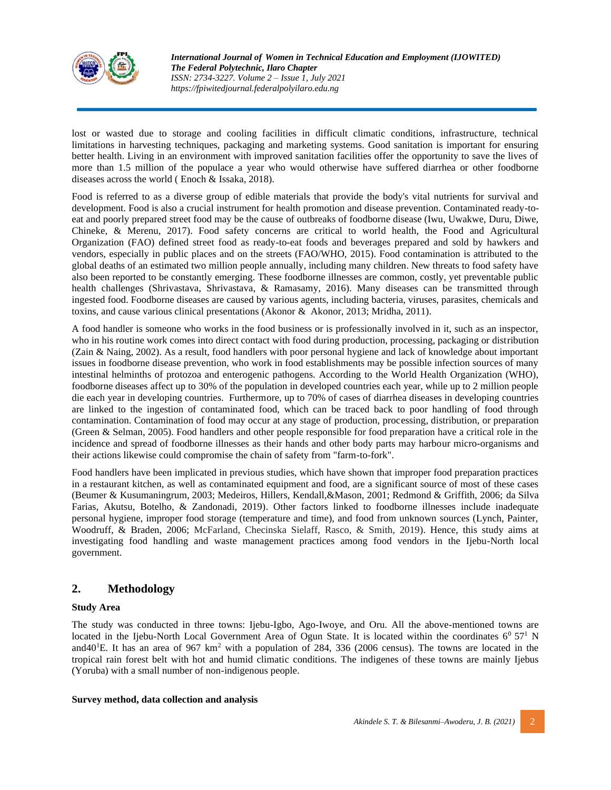

lost or wasted due to storage and cooling facilities in difficult climatic conditions, infrastructure, technical limitations in harvesting techniques, packaging and marketing systems. Good sanitation is important for ensuring better health. Living in an environment with improved sanitation facilities offer the opportunity to save the lives of more than 1.5 million of the populace a year who would otherwise have suffered diarrhea or other foodborne diseases across the world ( Enoch & Issaka, 2018).

Food is referred to as a diverse group of edible materials that provide the body's vital nutrients for survival and development. Food is also a crucial instrument for health promotion and disease prevention. Contaminated ready-toeat and poorly prepared street food may be the cause of outbreaks of foodborne disease (Iwu, Uwakwe, Duru, Diwe, Chineke, & Merenu, 2017). Food safety concerns are critical to world health, the Food and Agricultural Organization (FAO) defined street food as ready-to-eat foods and beverages prepared and sold by hawkers and vendors, especially in public places and on the streets (FAO/WHO, 2015). Food contamination is attributed to the global deaths of an estimated two million people annually, including many children. New threats to food safety have also been reported to be constantly emerging. These foodborne illnesses are common, costly, yet preventable public health challenges (Shrivastava, Shrivastava, & Ramasamy, 2016). Many diseases can be transmitted through ingested food. Foodborne diseases are caused by various agents, including bacteria, viruses, parasites, chemicals and toxins, and cause various clinical presentations (Akonor & Akonor, 2013; Mridha, 2011).

A food handler is someone who works in the food business or is professionally involved in it, such as an inspector, who in his routine work comes into direct contact with food during production, processing, packaging or distribution (Zain & Naing, 2002). As a result, food handlers with poor personal hygiene and lack of knowledge about important issues in foodborne disease prevention, who work in food establishments may be possible infection sources of many intestinal helminths of protozoa and enterogenic pathogens. According to the World Health Organization (WHO), foodborne diseases affect up to 30% of the population in developed countries each year, while up to 2 million people die each year in developing countries. Furthermore, up to 70% of cases of diarrhea diseases in developing countries are linked to the ingestion of contaminated food, which can be traced back to poor handling of food through contamination. Contamination of food may occur at any stage of production, processing, distribution, or preparation (Green & Selman, 2005). Food handlers and other people responsible for food preparation have a critical role in the incidence and spread of foodborne illnesses as their hands and other body parts may harbour micro-organisms and their actions likewise could compromise the chain of safety from "farm-to-fork".

Food handlers have been implicated in previous studies, which have shown that improper food preparation practices in a restaurant kitchen, as well as contaminated equipment and food, are a significant source of most of these cases (Beumer & Kusumaningrum, 2003; Medeiros, Hillers, Kendall,&Mason, 2001; Redmond & Griffith, 2006; da Silva Farias, Akutsu, Botelho, & Zandonadi, 2019). Other factors linked to foodborne illnesses include inadequate personal hygiene, improper food storage (temperature and time), and food from unknown sources (Lynch, Painter, Woodruff, & Braden, 2006; McFarland, Checinska Sielaff, Rasco, & Smith, 2019). Hence, this study aims at investigating food handling and waste management practices among food vendors in the Ijebu-North local government.

# **2. Methodology**

### **Study Area**

The study was conducted in three towns: Ijebu-Igbo, Ago-Iwoye, and Oru. All the above-mentioned towns are located in the Ijebu-North Local Government Area of Ogun State. It is located within the coordinates  $6^0$  57<sup>1</sup> N and $40^{1}$ E. It has an area of 967 km<sup>2</sup> with a population of 284, 336 (2006 census). The towns are located in the tropical rain forest belt with hot and humid climatic conditions. The indigenes of these towns are mainly Ijebus (Yoruba) with a small number of non-indigenous people.

#### **Survey method, data collection and analysis**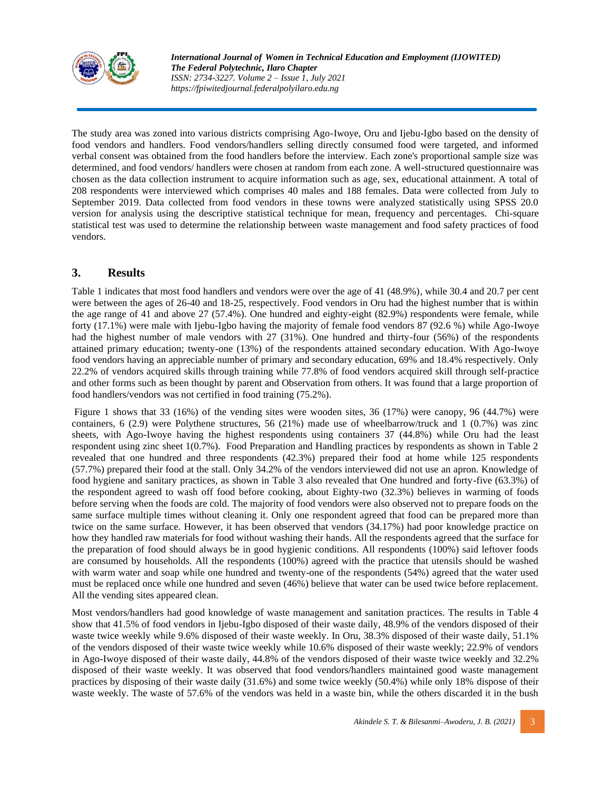

The study area was zoned into various districts comprising Ago-Iwoye, Oru and Ijebu-Igbo based on the density of food vendors and handlers. Food vendors/handlers selling directly consumed food were targeted, and informed verbal consent was obtained from the food handlers before the interview. Each zone's proportional sample size was determined, and food vendors/ handlers were chosen at random from each zone. A well-structured questionnaire was chosen as the data collection instrument to acquire information such as age, sex, educational attainment. A total of 208 respondents were interviewed which comprises 40 males and 188 females. Data were collected from July to September 2019. Data collected from food vendors in these towns were analyzed statistically using SPSS 20.0 version for analysis using the descriptive statistical technique for mean, frequency and percentages. Chi-square statistical test was used to determine the relationship between waste management and food safety practices of food vendors.

## **3. Results**

Table 1 indicates that most food handlers and vendors were over the age of 41 (48.9%), while 30.4 and 20.7 per cent were between the ages of 26-40 and 18-25, respectively. Food vendors in Oru had the highest number that is within the age range of 41 and above 27 (57.4%). One hundred and eighty-eight (82.9%) respondents were female, while forty (17.1%) were male with Ijebu-Igbo having the majority of female food vendors 87 (92.6 %) while Ago-Iwoye had the highest number of male vendors with 27 (31%). One hundred and thirty-four (56%) of the respondents attained primary education; twenty-one (13%) of the respondents attained secondary education. With Ago-Iwoye food vendors having an appreciable number of primary and secondary education, 69% and 18.4% respectively. Only 22.2% of vendors acquired skills through training while 77.8% of food vendors acquired skill through self-practice and other forms such as been thought by parent and Observation from others. It was found that a large proportion of food handlers/vendors was not certified in food training (75.2%).

Figure 1 shows that 33 (16%) of the vending sites were wooden sites, 36 (17%) were canopy, 96 (44.7%) were containers, 6 (2.9) were Polythene structures, 56 (21%) made use of wheelbarrow/truck and 1 (0.7%) was zinc sheets, with Ago-Iwoye having the highest respondents using containers 37 (44.8%) while Oru had the least respondent using zinc sheet 1(0.7%). Food Preparation and Handling practices by respondents as shown in Table 2 revealed that one hundred and three respondents (42.3%) prepared their food at home while 125 respondents (57.7%) prepared their food at the stall. Only 34.2% of the vendors interviewed did not use an apron. Knowledge of food hygiene and sanitary practices, as shown in Table 3 also revealed that One hundred and forty-five (63.3%) of the respondent agreed to wash off food before cooking, about Eighty-two (32.3%) believes in warming of foods before serving when the foods are cold. The majority of food vendors were also observed not to prepare foods on the same surface multiple times without cleaning it. Only one respondent agreed that food can be prepared more than twice on the same surface. However, it has been observed that vendors (34.17%) had poor knowledge practice on how they handled raw materials for food without washing their hands. All the respondents agreed that the surface for the preparation of food should always be in good hygienic conditions. All respondents (100%) said leftover foods are consumed by households. All the respondents (100%) agreed with the practice that utensils should be washed with warm water and soap while one hundred and twenty-one of the respondents (54%) agreed that the water used must be replaced once while one hundred and seven (46%) believe that water can be used twice before replacement. All the vending sites appeared clean.

Most vendors/handlers had good knowledge of waste management and sanitation practices. The results in Table 4 show that 41.5% of food vendors in Ijebu-Igbo disposed of their waste daily, 48.9% of the vendors disposed of their waste twice weekly while 9.6% disposed of their waste weekly. In Oru, 38.3% disposed of their waste daily, 51.1% of the vendors disposed of their waste twice weekly while 10.6% disposed of their waste weekly; 22.9% of vendors in Ago-Iwoye disposed of their waste daily, 44.8% of the vendors disposed of their waste twice weekly and 32.2% disposed of their waste weekly. It was observed that food vendors/handlers maintained good waste management practices by disposing of their waste daily (31.6%) and some twice weekly (50.4%) while only 18% dispose of their waste weekly. The waste of 57.6% of the vendors was held in a waste bin, while the others discarded it in the bush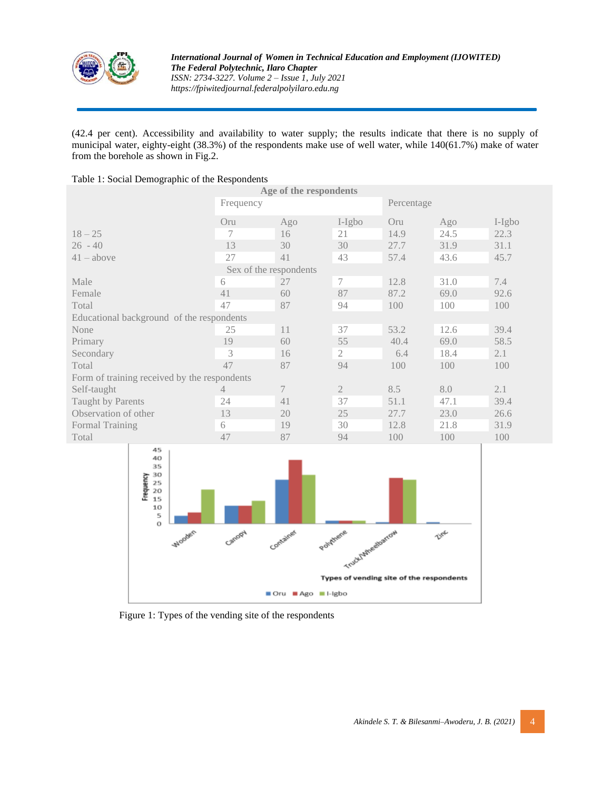

(42.4 per cent). Accessibility and availability to water supply; the results indicate that there is no supply of municipal water, eighty-eight (38.3%) of the respondents make use of well water, while 140(61.7%) make of water from the borehole as shown in Fig.2.

#### Table 1: Social Demographic of the Respondents

| Age of the respondents                       |                        |     |                |            |      |        |  |  |
|----------------------------------------------|------------------------|-----|----------------|------------|------|--------|--|--|
|                                              | Frequency              |     |                | Percentage |      |        |  |  |
|                                              | Oru                    | Ago | I-Igbo         | Oru        | Ago  | I-Igbo |  |  |
| $18 - 25$                                    | 7                      | 16  | 21             | 14.9       | 24.5 | 22.3   |  |  |
| $26 - 40$                                    | 13                     | 30  | 30             | 27.7       | 31.9 | 31.1   |  |  |
| $41 - above$                                 | 27                     | 41  | 43             | 57.4       | 43.6 | 45.7   |  |  |
|                                              | Sex of the respondents |     |                |            |      |        |  |  |
| Male                                         | 6                      | 27  | 7              | 12.8       | 31.0 | 7.4    |  |  |
| Female                                       | 41                     | 60  | 87             | 87.2       | 69.0 | 92.6   |  |  |
| Total                                        | 47                     | 87  | 94             | 100        | 100  | 100    |  |  |
| Educational background of the respondents    |                        |     |                |            |      |        |  |  |
| None                                         | 25                     | 11  | 37             | 53.2       | 12.6 | 39.4   |  |  |
| Primary                                      | 19                     | 60  | 55             | 40.4       | 69.0 | 58.5   |  |  |
| Secondary                                    | 3                      | 16  | $\mathfrak{2}$ | 6.4        | 18.4 | 2.1    |  |  |
| Total                                        | 47                     | 87  | 94             | 100        | 100  | 100    |  |  |
| Form of training received by the respondents |                        |     |                |            |      |        |  |  |
| Self-taught                                  | 4                      | 7   | $\mathfrak{2}$ | 8.5        | 8.0  | 2.1    |  |  |
| Taught by Parents                            | 24                     | 41  | 37             | 51.1       | 47.1 | 39.4   |  |  |
| Observation of other                         | 13                     | 20  | 25             | 27.7       | 23.0 | 26.6   |  |  |
| Formal Training                              | 6                      | 19  | 30             | 12.8       | 21.8 | 31.9   |  |  |
| Total                                        | 47                     | 87  | 94             | 100        | 100  | 100    |  |  |



Figure 1: Types of the vending site of the respondents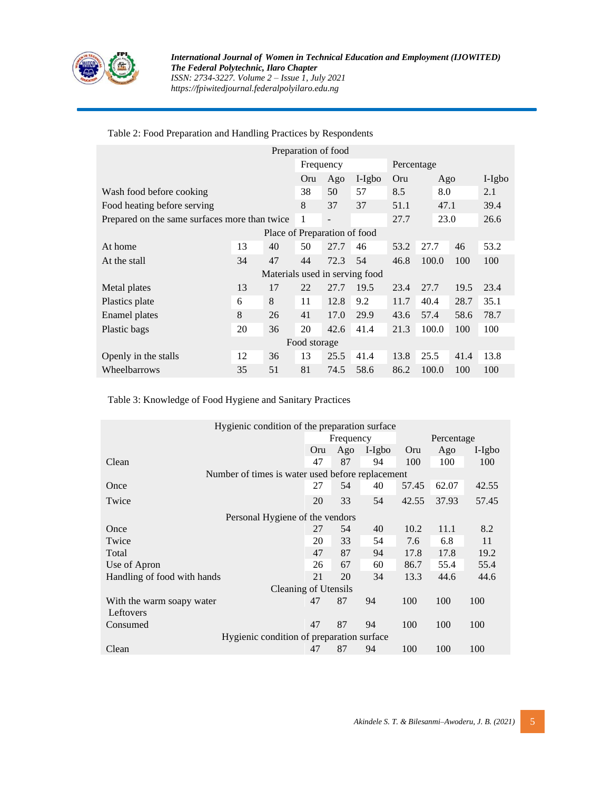

### Table 2: Food Preparation and Handling Practices by Respondents

|                                               |           |    | Preparation of food |                          |        |      |       |      |          |
|-----------------------------------------------|-----------|----|---------------------|--------------------------|--------|------|-------|------|----------|
|                                               | Frequency |    |                     | Percentage               |        |      |       |      |          |
|                                               |           |    | Oru                 | Ago                      | I-Igbo | Oru  | Ago   |      | $I-Igbo$ |
| Wash food before cooking                      |           |    | 38                  | 50                       | 57     | 8.5  | 8.0   |      | 2.1      |
| Food heating before serving                   |           |    | 8                   | 37                       | 37     | 51.1 | 47.1  |      | 39.4     |
| Prepared on the same surfaces more than twice |           |    | 1                   | $\overline{\phantom{a}}$ |        | 27.7 | 23.0  |      | 26.6     |
| Place of Preparation of food                  |           |    |                     |                          |        |      |       |      |          |
| At home                                       | 13        | 40 | 50                  | 27.7                     | 46     | 53.2 | 27.7  | 46   | 53.2     |
| At the stall                                  | 34        | 47 | 44                  | 72.3                     | 54     | 46.8 | 100.0 | 100  | 100      |
| Materials used in serving food                |           |    |                     |                          |        |      |       |      |          |
| Metal plates                                  | 13        | 17 | 22                  | 27.7                     | 19.5   | 23.4 | 27.7  | 19.5 | 23.4     |
| Plastics plate                                | 6         | 8  | 11                  | 12.8                     | 9.2    | 11.7 | 40.4  | 28.7 | 35.1     |
| Enamel plates                                 | 8         | 26 | 41                  | 17.0                     | 29.9   | 43.6 | 57.4  | 58.6 | 78.7     |
| Plastic bags                                  | 20        | 36 | 20                  | 42.6                     | 41.4   | 21.3 | 100.0 | 100  | 100      |
| Food storage                                  |           |    |                     |                          |        |      |       |      |          |
| Openly in the stalls                          | 12        | 36 | 13                  | 25.5                     | 41.4   | 13.8 | 25.5  | 41.4 | 13.8     |
| Wheelbarrows                                  | 35        | 51 | 81                  | 74.5                     | 58.6   | 86.2 | 100.0 | 100  | 100      |

### Table 3: Knowledge of Food Hygiene and Sanitary Practices

| Hygienic condition of the preparation surface |                                                  |                         |        |       |       |        |  |
|-----------------------------------------------|--------------------------------------------------|-------------------------|--------|-------|-------|--------|--|
|                                               |                                                  | Percentage<br>Frequency |        |       |       |        |  |
|                                               | Oru                                              | Ago                     | I-Igbo | Oru   | Ago   | I-Igbo |  |
| Clean                                         | 47                                               | 87                      | 94     | 100   | 100   | 100    |  |
|                                               | Number of times is water used before replacement |                         |        |       |       |        |  |
| Once                                          | 27                                               | 54                      | 40     | 57.45 | 62.07 | 42.55  |  |
| Twice                                         | 20                                               | 33                      | 54     | 42.55 | 37.93 | 57.45  |  |
| Personal Hygiene of the vendors               |                                                  |                         |        |       |       |        |  |
| Once                                          | 27                                               | 54                      | 40     | 10.2  | 11.1  | 8.2    |  |
| Twice                                         | 20                                               | 33                      | 54     | 7.6   | 6.8   | 11     |  |
| Total                                         | 47                                               | 87                      | 94     | 17.8  | 17.8  | 19.2   |  |
| Use of Apron                                  | 26                                               | 67                      | 60     | 86.7  | 55.4  | 55.4   |  |
| Handling of food with hands                   | 21                                               | 20                      | 34     | 13.3  | 44.6  | 44.6   |  |
| <b>Cleaning of Utensils</b>                   |                                                  |                         |        |       |       |        |  |
| With the warm soapy water                     | 47                                               | 87                      | 94     | 100   | 100   | 100    |  |
| Leftovers                                     |                                                  |                         |        |       |       |        |  |
| Consumed                                      | 47                                               | 87                      | 94     | 100   | 100   | 100    |  |
| Hygienic condition of preparation surface     |                                                  |                         |        |       |       |        |  |
| Clean                                         | 47                                               | 87                      | 94     | 100   | 100   | 100    |  |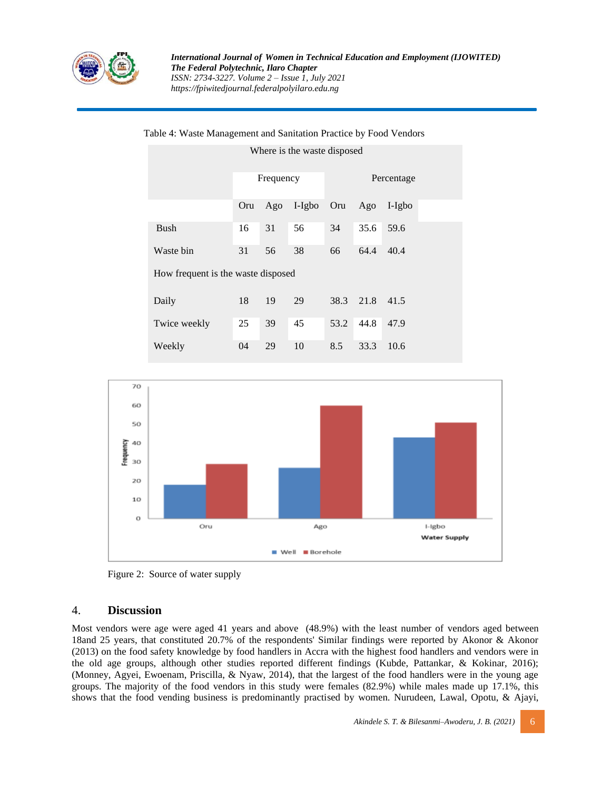

| How frequent is the waste disposed |  |  |  |  |  |  |  |  |
|------------------------------------|--|--|--|--|--|--|--|--|
|                                    |  |  |  |  |  |  |  |  |
|                                    |  |  |  |  |  |  |  |  |
|                                    |  |  |  |  |  |  |  |  |
|                                    |  |  |  |  |  |  |  |  |
|                                    |  |  |  |  |  |  |  |  |
|                                    |  |  |  |  |  |  |  |  |





Figure 2: Source of water supply

### 4. **Discussion**

Most vendors were age were aged 41 years and above (48.9%) with the least number of vendors aged between 18and 25 years, that constituted 20.7% of the respondents' Similar findings were reported by Akonor & Akonor (2013) on the food safety knowledge by food handlers in Accra with the highest food handlers and vendors were in the old age groups, although other studies reported different findings (Kubde, Pattankar, & Kokinar, 2016); (Monney, Agyei, Ewoenam, Priscilla, & Nyaw, 2014), that the largest of the food handlers were in the young age groups. The majority of the food vendors in this study were females (82.9%) while males made up 17.1%, this shows that the food vending business is predominantly practised by women. Nurudeen, Lawal, Opotu, & Ajayi,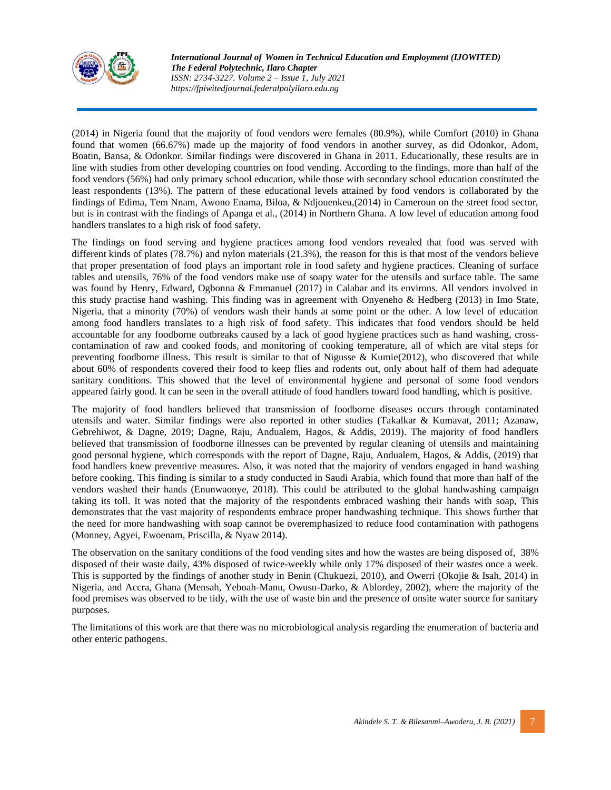

(2014) in Nigeria found that the majority of food vendors were females (80.9%), while Comfort (2010) in Ghana found that women (66.67%) made up the majority of food vendors in another survey, as did Odonkor, Adom, Boatin, Bansa, & Odonkor. Similar findings were discovered in Ghana in 2011. Educationally, these results are in line with studies from other developing countries on food vending. According to the findings, more than half of the food vendors (56%) had only primary school education, while those with secondary school education constituted the least respondents (13%). The pattern of these educational levels attained by food vendors is collaborated by the findings of Edima, Tem Nnam, Awono Enama, Biloa, & Ndjouenkeu,(2014) in Cameroun on the street food sector, but is in contrast with the findings of Apanga et al., (2014) in Northern Ghana. A low level of education among food handlers translates to a high risk of food safety.

The findings on food serving and hygiene practices among food vendors revealed that food was served with different kinds of plates (78.7%) and nylon materials (21.3%), the reason for this is that most of the vendors believe that proper presentation of food plays an important role in food safety and hygiene practices. Cleaning of surface tables and utensils, 76% of the food vendors make use of soapy water for the utensils and surface table. The same was found by Henry, Edward, Ogbonna & Emmanuel (2017) in Calabar and its environs. All vendors involved in this study practise hand washing. This finding was in agreement with Onyeneho & Hedberg (2013) in Imo State, Nigeria, that a minority (70%) of vendors wash their hands at some point or the other. A low level of education among food handlers translates to a high risk of food safety. This indicates that food vendors should be held accountable for any foodborne outbreaks caused by a lack of good hygiene practices such as hand washing, crosscontamination of raw and cooked foods, and monitoring of cooking temperature, all of which are vital steps for preventing foodborne illness. This result is similar to that of Nigusse & Kumie $(2012)$ , who discovered that while about 60% of respondents covered their food to keep flies and rodents out, only about half of them had adequate sanitary conditions. This showed that the level of environmental hygiene and personal of some food vendors appeared fairly good. It can be seen in the overall attitude of food handlers toward food handling, which is positive.

The majority of food handlers believed that transmission of foodborne diseases occurs through contaminated utensils and water. Similar findings were also reported in other studies (Takalkar & Kumavat, 2011; Azanaw, Gebrehiwot, & Dagne, 2019; Dagne, Raju, Andualem, Hagos, & Addis, 2019). The majority of food handlers believed that transmission of foodborne illnesses can be prevented by regular cleaning of utensils and maintaining good personal hygiene, which corresponds with the report of Dagne, Raju, Andualem, Hagos, & Addis, (2019) that food handlers knew preventive measures. Also, it was noted that the majority of vendors engaged in hand washing before cooking. This finding is similar to a study conducted in Saudi Arabia, which found that more than half of the vendors washed their hands (Enunwaonye, 2018). This could be attributed to the global handwashing campaign taking its toll. It was noted that the majority of the respondents embraced washing their hands with soap, This demonstrates that the vast majority of respondents embrace proper handwashing technique. This shows further that the need for more handwashing with soap cannot be overemphasized to reduce food contamination with pathogens (Monney, Agyei, Ewoenam, Priscilla, & Nyaw 2014).

The observation on the sanitary conditions of the food vending sites and how the wastes are being disposed of, 38% disposed of their waste daily, 43% disposed of twice-weekly while only 17% disposed of their wastes once a week. This is supported by the findings of another study in Benin (Chukuezi, 2010), and Owerri (Okojie & Isah, 2014) in Nigeria, and Accra, Ghana (Mensah, Yeboah-Manu, Owusu-Darko, & Ablordey*,* 2002), where the majority of the food premises was observed to be tidy, with the use of waste bin and the presence of onsite water source for sanitary purposes.

The limitations of this work are that there was no microbiological analysis regarding the enumeration of bacteria and other enteric pathogens.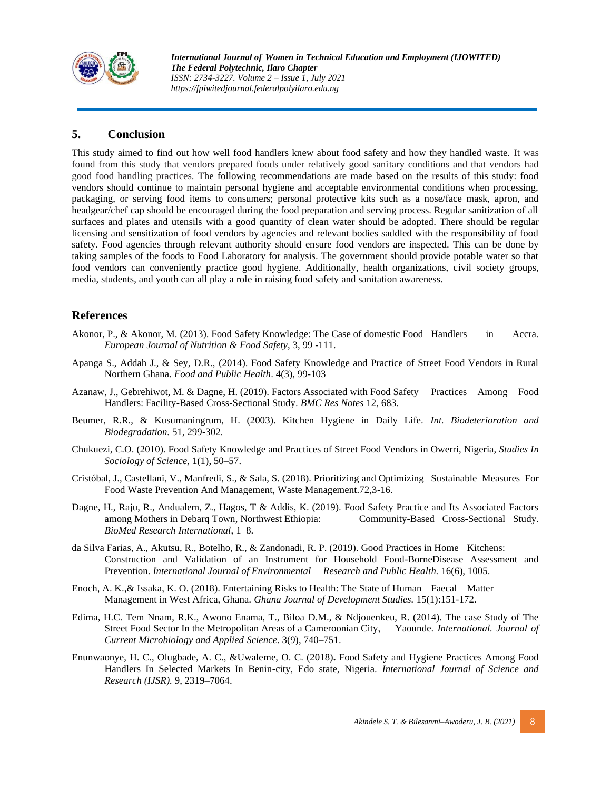

# **5. Conclusion**

This study aimed to find out how well food handlers knew about food safety and how they handled waste. It was found from this study that vendors prepared foods under relatively good sanitary conditions and that vendors had good food handling practices. The following recommendations are made based on the results of this study: food vendors should continue to maintain personal hygiene and acceptable environmental conditions when processing, packaging, or serving food items to consumers; personal protective kits such as a nose/face mask, apron, and headgear/chef cap should be encouraged during the food preparation and serving process. Regular sanitization of all surfaces and plates and utensils with a good quantity of clean water should be adopted. There should be regular licensing and sensitization of food vendors by agencies and relevant bodies saddled with the responsibility of food safety. Food agencies through relevant authority should ensure food vendors are inspected. This can be done by taking samples of the foods to Food Laboratory for analysis. The government should provide potable water so that food vendors can conveniently practice good hygiene. Additionally, health organizations, civil society groups, media, students, and youth can all play a role in raising food safety and sanitation awareness.

## **References**

- Akonor, P., & Akonor, M. (2013). Food Safety Knowledge: The Case of domestic Food Handlers in Accra. *European Journal of Nutrition & Food Safety*, 3, 99 -111.
- Apanga S., Addah J., & Sey, D.R., (2014). Food Safety Knowledge and Practice of Street Food Vendors in Rural Northern Ghana. *Food and Public Health*. 4(3), 99-103
- Azanaw, J., Gebrehiwot, M. & Dagne, H. (2019). Factors Associated with Food Safety Practices Among Food Handlers: Facility-Based Cross-Sectional Study. *BMC Res Notes* 12, 683.
- Beumer, R.R., & Kusumaningrum, H. (2003). Kitchen Hygiene in Daily Life. *Int. Biodeterioration and Biodegradation.* 51, 299-302.
- Chukuezi, C.O. (2010). Food Safety Knowledge and Practices of Street Food Vendors in Owerri, Nigeria, *Studies In Sociology of Science,* 1(1), 50–57.
- Cristóbal, J., Castellani, V., Manfredi, S., & Sala, S. (2018). Prioritizing and Optimizing Sustainable Measures For Food Waste Prevention And Management, Waste Management.72,3-16.
- Dagne, H., Raju, R., Andualem, Z., Hagos, T & Addis, K. (2019). Food Safety Practice and Its Associated Factors among Mothers in Debarq Town, Northwest Ethiopia: Community-Based Cross-Sectional Study. *BioMed Research International*, 1–8.
- da Silva Farias, A., Akutsu, R., Botelho, R., & Zandonadi, R. P. (2019). Good Practices in Home Kitchens: Construction and Validation of an Instrument for Household Food-BorneDisease Assessment and Prevention. *International Journal of Environmental Research and Public Health.* 16(6), 1005.
- Enoch, A. K.,& Issaka, K. O. (2018). Entertaining Risks to Health: The State of Human Faecal Matter Management in West Africa, Ghana*. Ghana Journal of Development Studies.* 15(1):151-172.
- Edima, H.C. Tem Nnam, R.K., Awono Enama, T., Biloa D.M., & Ndjouenkeu, R. (2014). The case Study of The Street Food Sector In the Metropolitan Areas of a Cameroonian City, Yaounde. *International. Journal of Current Microbiology and Applied Science*. 3(9), 740–751.
- Enunwaonye, H. C., Olugbade, A. C., &Uwaleme, O. C. (2018)**.** Food Safety and Hygiene Practices Among Food Handlers In Selected Markets In Benin-city, Edo state, Nigeria. *International Journal of Science and Research (IJSR).* 9, 2319–7064.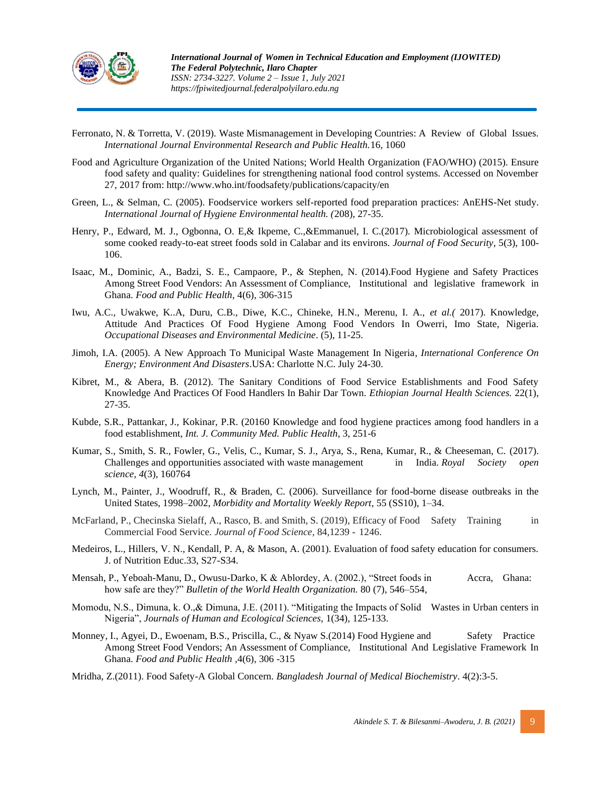

- Ferronato, N. & Torretta, V. (2019). Waste Mismanagement in Developing Countries: A Review of Global Issues. *International Journal Environmental Research and Public Health.*16*,* 1060
- Food and Agriculture Organization of the United Nations; World Health Organization (FAO/WHO) (2015). Ensure food safety and quality: Guidelines for strengthening national food control systems. Accessed on November 27, 2017 from: http://www.who.int/foodsafety/publications/capacity/en
- Green, L., & Selman, C. (2005). Foodservice workers self-reported food preparation practices: AnEHS-Net study. *International Journal of Hygiene Environmental health. (*208), 27-35.
- Henry, P., Edward, M. J., Ogbonna, O. E,& Ikpeme, C.,&Emmanuel, I. C.(2017). Microbiological assessment of some cooked ready-to-eat street foods sold in Calabar and its environs. *Journal of Food Security*, 5(3), 100- 106.
- Isaac, M., Dominic, A., Badzi, S. E., Campaore, P., & Stephen, N. (2014).Food Hygiene and Safety Practices Among Street Food Vendors: An Assessment of Compliance, Institutional and legislative framework in Ghana. *Food and Public Health*, 4(6), 306-315
- Iwu, A.C., Uwakwe, K..A, Duru, C.B., Diwe, K.C., Chineke, H.N., Merenu, I. A., *et al.(* 2017). Knowledge, Attitude And Practices Of Food Hygiene Among Food Vendors In Owerri, Imo State, Nigeria. *Occupational Diseases and Environmental Medicine*. (5), 11-25.
- Jimoh, I.A. (2005). A New Approach To Municipal Waste Management In Nigeria*, International Conference On Energy; Environment And Disasters*.USA: Charlotte N.C. July 24-30.
- Kibret, M., & Abera, B. (2012). The Sanitary Conditions of Food Service Establishments and Food Safety Knowledge And Practices Of Food Handlers In Bahir Dar Town. *Ethiopian Journal Health Sciences.* 22(1), 27-35.
- Kubde, S.R., Pattankar, J., Kokinar, P.R. (20160 Knowledge and food hygiene practices among food handlers in a food establishment, *Int. J. Community Med. Public Health*, 3, 251-6
- Kumar, S., Smith, S. R., Fowler, G., Velis, C., Kumar, S. J., Arya, S., Rena, Kumar, R., & Cheeseman, C. (2017). Challenges and opportunities associated with waste management in India. *Royal Society open science*, *4*(3), 160764
- Lynch, M., Painter, J., Woodruff, R., & Braden, C. (2006). Surveillance for food-borne disease outbreaks in the United States, 1998–2002, *Morbidity and Mortality Weekly Report*, 55 (SS10), 1–34.
- McFarland, P., Checinska Sielaff, A., Rasco, B. and Smith, S. (2019), Efficacy of Food Safety Training in Commercial Food Service. *Journal of Food Science*, 84,1239 - 1246.
- Medeiros, L., Hillers, V. N., Kendall, P. A, & Mason, A. (2001). Evaluation of food safety education for consumers. J. of Nutrition Educ.33, S27-S34.
- Mensah, P., Yeboah-Manu, D., Owusu-Darko, K & Ablordey, A. (2002.), "Street foods in Accra, Ghana: how safe are they?" *Bulletin of the World Health Organization.* 80 (7), 546–554,
- Momodu, N.S., Dimuna, k. O.,& Dimuna, J.E. (2011). "Mitigating the Impacts of Solid Wastes in Urban centers in Nigeria", *Journals of Human and Ecological Sciences,* 1(34), 125-133.
- Monney, I., Agyei, D., Ewoenam, B.S., Priscilla, C., & Nyaw S.(2014) Food Hygiene and Safety Practice Among Street Food Vendors; An Assessment of Compliance, Institutional And Legislative Framework In Ghana. *Food and Public Health* ,4(6), 306 -315
- Mridha, Z.(2011). Food Safety-A Global Concern. *Bangladesh Journal of Medical Biochemistry*. 4(2):3-5.